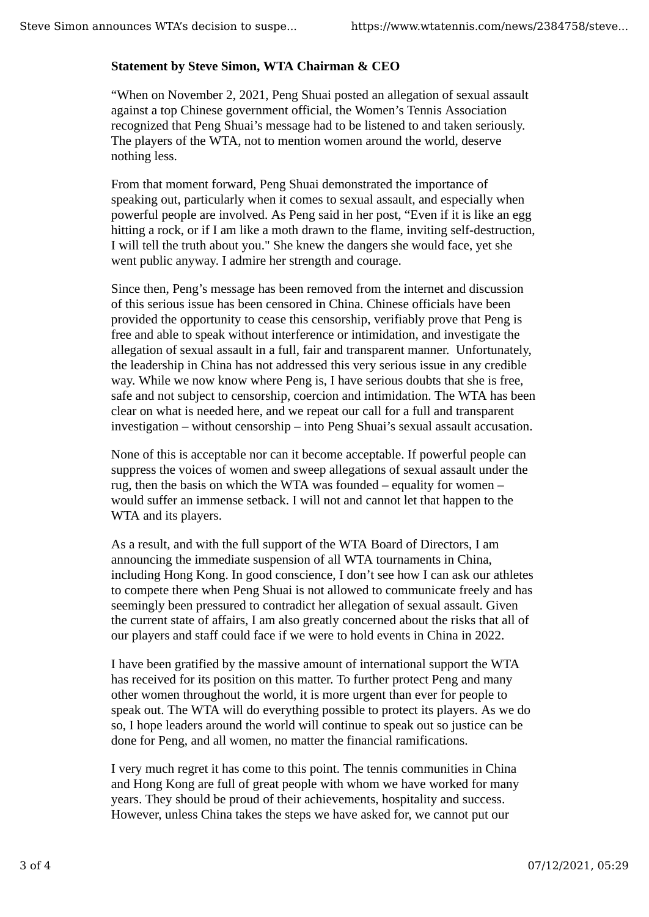## **Statement by Steve Simon, WTA Chairman & CEO**

"When on November 2, 2021, Peng Shuai posted an allegation of sexual assault against a top Chinese government official, the Women's Tennis Association recognized that Peng Shuai's message had to be listened to and taken seriously. The players of the WTA, not to mention women around the world, deserve nothing less.

From that moment forward, Peng Shuai demonstrated the importance of speaking out, particularly when it comes to sexual assault, and especially when powerful people are involved. As Peng said in her post, "Even if it is like an egg hitting a rock, or if I am like a moth drawn to the flame, inviting self-destruction, I will tell the truth about you." She knew the dangers she would face, yet she went public anyway. I admire her strength and courage.

Since then, Peng's message has been removed from the internet and discussion of this serious issue has been censored in China. Chinese officials have been provided the opportunity to cease this censorship, verifiably prove that Peng is free and able to speak without interference or intimidation, and investigate the allegation of sexual assault in a full, fair and transparent manner. Unfortunately, the leadership in China has not addressed this very serious issue in any credible way. While we now know where Peng is, I have serious doubts that she is free, safe and not subject to censorship, coercion and intimidation. The WTA has been clear on what is needed here, and we repeat our call for a full and transparent investigation – without censorship – into Peng Shuai's sexual assault accusation.

None of this is acceptable nor can it become acceptable. If powerful people can suppress the voices of women and sweep allegations of sexual assault under the rug, then the basis on which the WTA was founded – equality for women – would suffer an immense setback. I will not and cannot let that happen to the WTA and its players.

As a result, and with the full support of the WTA Board of Directors, I am announcing the immediate suspension of all WTA tournaments in China, including Hong Kong. In good conscience, I don't see how I can ask our athletes to compete there when Peng Shuai is not allowed to communicate freely and has seemingly been pressured to contradict her allegation of sexual assault. Given the current state of affairs, I am also greatly concerned about the risks that all of our players and staff could face if we were to hold events in China in 2022.

I have been gratified by the massive amount of international support the WTA has received for its position on this matter. To further protect Peng and many other women throughout the world, it is more urgent than ever for people to speak out. The WTA will do everything possible to protect its players. As we do so, I hope leaders around the world will continue to speak out so justice can be done for Peng, and all women, no matter the financial ramifications.

I very much regret it has come to this point. The tennis communities in China and Hong Kong are full of great people with whom we have worked for many years. They should be proud of their achievements, hospitality and success. However, unless China takes the steps we have asked for, we cannot put our